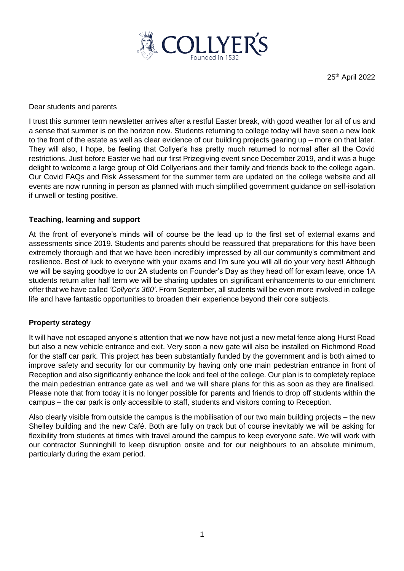

25<sup>th</sup> April 2022

Dear students and parents

I trust this summer term newsletter arrives after a restful Easter break, with good weather for all of us and a sense that summer is on the horizon now. Students returning to college today will have seen a new look to the front of the estate as well as clear evidence of our building projects gearing up – more on that later. They will also, I hope, be feeling that Collyer's has pretty much returned to normal after all the Covid restrictions. Just before Easter we had our first Prizegiving event since December 2019, and it was a huge delight to welcome a large group of Old Collyerians and their family and friends back to the college again. Our Covid FAQs and Risk Assessment for the summer term are updated on the college website and all events are now running in person as planned with much simplified government guidance on self-isolation if unwell or testing positive.

### **Teaching, learning and support**

At the front of everyone's minds will of course be the lead up to the first set of external exams and assessments since 2019. Students and parents should be reassured that preparations for this have been extremely thorough and that we have been incredibly impressed by all our community's commitment and resilience. Best of luck to everyone with your exams and I'm sure you will all do your very best! Although we will be saying goodbye to our 2A students on Founder's Day as they head off for exam leave, once 1A students return after half term we will be sharing updates on significant enhancements to our enrichment offer that we have called *'Collyer's 360'*. From September, all students will be even more involved in college life and have fantastic opportunities to broaden their experience beyond their core subjects.

#### **Property strategy**

It will have not escaped anyone's attention that we now have not just a new metal fence along Hurst Road but also a new vehicle entrance and exit. Very soon a new gate will also be installed on Richmond Road for the staff car park. This project has been substantially funded by the government and is both aimed to improve safety and security for our community by having only one main pedestrian entrance in front of Reception and also significantly enhance the look and feel of the college. Our plan is to completely replace the main pedestrian entrance gate as well and we will share plans for this as soon as they are finalised. Please note that from today it is no longer possible for parents and friends to drop off students within the campus – the car park is only accessible to staff, students and visitors coming to Reception.

Also clearly visible from outside the campus is the mobilisation of our two main building projects – the new Shelley building and the new Café. Both are fully on track but of course inevitably we will be asking for flexibility from students at times with travel around the campus to keep everyone safe. We will work with our contractor Sunninghill to keep disruption onsite and for our neighbours to an absolute minimum, particularly during the exam period.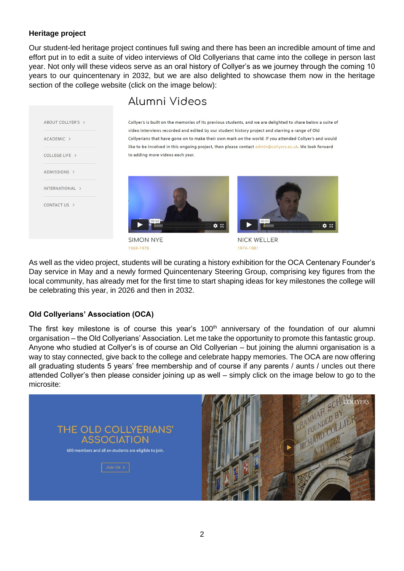## **Heritage project**

Our student-led heritage project continues full swing and there has been an incredible amount of time and effort put in to edit a suite of video interviews of Old Collyerians that came into the college in person last year. Not only will these videos serve as an oral history of Collyer's as we journey through the coming 10 years to our quincentenary in 2032, but we are also delighted to showcase them now in the heritage section of the college website (click on the image below):

| ABOUT COLLYER'S > |  |
|-------------------|--|
|                   |  |
| ACADEMIC >        |  |
| COLLEGE LIFE >    |  |
| ADMISSIONS >      |  |
| INTERNATIONAL >   |  |
| CONTACT US >      |  |
|                   |  |

# Alumni Videos

Collyer's is built on the memories of its previous students, and we are delighted to share below a suite of video interviews recorded and edited by our student history project and starring a range of Old Collyerians that have gone on to make their own mark on the world. If you attended Collyer's and would like to be involved in this ongoing project, then please contact admin@collyers.ac.uk. We look forward to adding more videos each year.



**SIMON NYE** 1969-1976



**NICK WELLER** 1974-1981

As well as the video project, students will be curating a history exhibition for the OCA Centenary Founder's Day service in May and a newly formed Quincentenary Steering Group, comprising key figures from the local community, has already met for the first time to start shaping ideas for key milestones the college will be celebrating this year, in 2026 and then in 2032.

# **Old Collyerians' Association (OCA)**

The first key milestone is of course this year's 100<sup>th</sup> anniversary of the foundation of our alumni organisation – the Old Collyerians' Association. Let me take the opportunity to promote this fantastic group. Anyone who studied at Collyer's is of course an Old Collyerian – but joining the alumni organisation is a way to stay connected, give back to the college and celebrate happy memories. The OCA are now offering all graduating students 5 years' free membership and of course if any parents / aunts / uncles out there attended Collyer's then please consider joining up as well – simply click on the image below to go to the microsite: